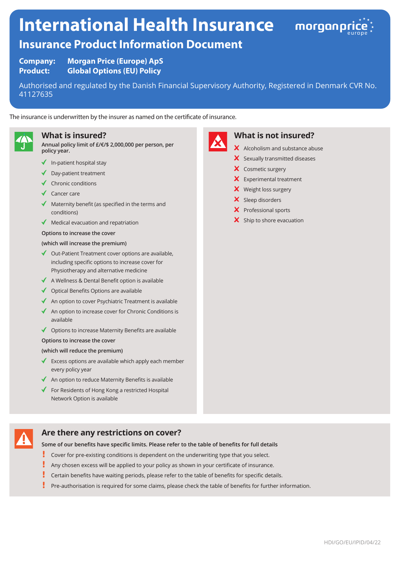# **International Health Insurance**



# **Insurance Product Information Document**

**Company: Morgan Price (Europe) ApS Product: Global Options (EU) Policy**

Authorised and regulated by the Danish Financial Supervisory Authority, Registered in Denmark CVR No. 41127635

The insurance is underwritten by the insurer as named on the certificate of insurance.



#### **What is insured?**

**Annual policy limit of £/€/\$ 2,000,000 per person, per policy year.**

- $\blacklozenge$  In-patient hospital stay
- Day-patient treatment
- $\checkmark$  Chronic conditions
- ◆ Cancer care
- Maternity benefit (as specified in the terms and conditions)
- $\blacklozenge$  Medical evacuation and repatriation
- **Options to increase the cover**

#### **(which will increase the premium)**

- ◆ Out-Patient Treatment cover options are available, including specific options to increase cover for Physiotherapy and alternative medicine
- $\triangleleft$  A Wellness & Dental Benefit option is available
- $\triangleleft$  Optical Benefits Options are available
- $\triangleleft$  An option to cover Psychiatric Treatment is available
- An option to increase cover for Chronic Conditions is available
- $\triangleleft$  Options to increase Maternity Benefits are available

#### **Options to increase the cover**

#### **(which will reduce the premium)**

- Excess options are available which apply each member every policy year
- $\triangleleft$  An option to reduce Maternity Benefits is available
- $\blacklozenge$  For Residents of Hong Kong a restricted Hospital Network Option is available

# **Are there any restrictions on cover?**

**Some of our benefits have specific limits. Please refer to the table of benefits for full details**

- ı Cover for pre-existing conditions is dependent on the underwriting type that you select.
- Į Any chosen excess will be applied to your policy as shown in your certificate of insurance.
- Certain benefits have waiting periods, please refer to the table of benefits for specific details.
- L Pre-authorisation is required for some claims, please check the table of benefits for further information.



# **What is not insured?**

- X Alcoholism and substance abuse
- $\mathsf{\times}$  Sexually transmitted diseases
- X Cosmetic surgery
- **X** Experimental treatment
- X Weight loss surgery
- X Sleep disorders
- X Professional sports
- $\boldsymbol{\times}$  Ship to shore evacuation